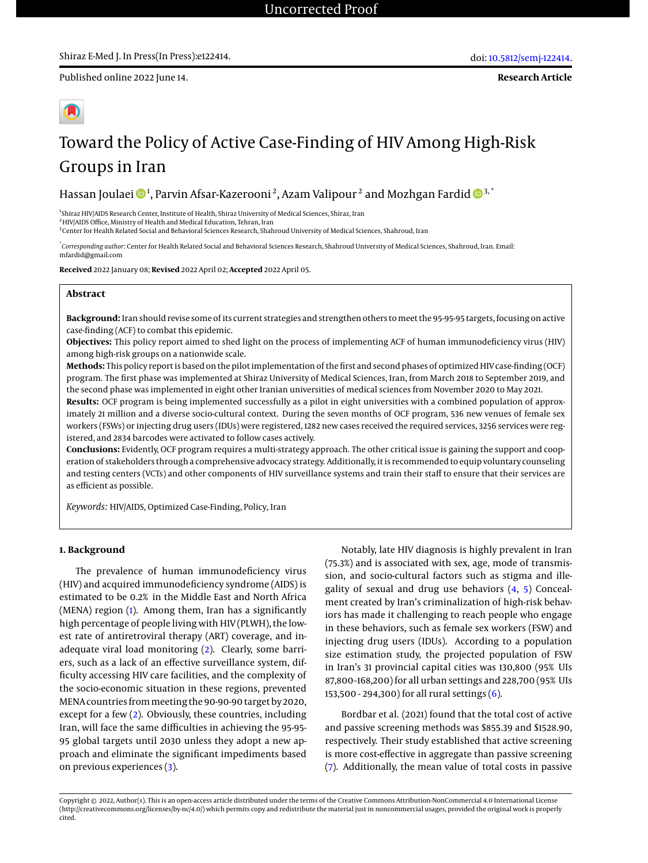Published online 2022 June 14.

# Toward the Policy of Active Case-Finding of HIV Among High-Risk Groups in Iran

Hassan Joulaei  $\mathbf{D}^{1},$  Parvin Afsar-Kazerooni $^{2},$  Azam Valipour $^{2}$  and Mozhgan Fardid  $\mathbf{D}^{3, ^{*}}$ 

1 Shiraz HIV/AIDS Research Center, Institute of Health, Shiraz University of Medical Sciences, Shiraz, Iran

<sup>2</sup>HIV/AIDS Office, Ministry of Health and Medical Education, Tehran, Iran

3 Center for Health Related Social and Behavioral Sciences Research, Shahroud University of Medical Sciences, Shahroud, Iran

\* *Corresponding author*: Center for Health Related Social and Behavioral Sciences Research, Shahroud University of Medical Sciences, Shahroud, Iran. Email: mfardid@gmail.com

**Received** 2022 January 08; **Revised** 2022 April 02; **Accepted** 2022 April 05.

#### **Abstract**

**Background:** Iran should revise some of its current strategies and strengthen others to meet the 95-95-95 targets, focusing on active case-finding (ACF) to combat this epidemic.

**Objectives:** This policy report aimed to shed light on the process of implementing ACF of human immunodeficiency virus (HIV) among high-risk groups on a nationwide scale.

**Methods:** This policy report is based on the pilot implementation of the first and second phases of optimized HIV case-finding (OCF) program. The first phase was implemented at Shiraz University of Medical Sciences, Iran, from March 2018 to September 2019, and the second phase was implemented in eight other Iranian universities of medical sciences from November 2020 to May 2021.

**Results:** OCF program is being implemented successfully as a pilot in eight universities with a combined population of approximately 21 million and a diverse socio-cultural context. During the seven months of OCF program, 536 new venues of female sex workers (FSWs) or injecting drug users (IDUs) were registered, 1282 new cases received the required services, 3256 services were registered, and 2834 barcodes were activated to follow cases actively.

**Conclusions:** Evidently, OCF program requires a multi-strategy approach. The other critical issue is gaining the support and cooperation of stakeholders through a comprehensive advocacy strategy. Additionally, it is recommended to equip voluntary counseling and testing centers (VCTs) and other components of HIV surveillance systems and train their staff to ensure that their services are as efficient as possible.

*Keywords:* HIV/AIDS, Optimized Case-Finding, Policy, Iran

#### **1. Background**

The prevalence of human immunodeficiency virus (HIV) and acquired immunodeficiency syndrome (AIDS) is estimated to be 0.2% in the Middle East and North Africa (MENA) region [\(1\)](#page-5-0). Among them, Iran has a significantly high percentage of people living with HIV (PLWH), the lowest rate of antiretroviral therapy (ART) coverage, and inadequate viral load monitoring [\(2\)](#page-5-1). Clearly, some barriers, such as a lack of an effective surveillance system, difficulty accessing HIV care facilities, and the complexity of the socio-economic situation in these regions, prevented MENA countries from meeting the 90-90-90 target by 2020, except for a few [\(2\)](#page-5-1). Obviously, these countries, including Iran, will face the same difficulties in achieving the 95-95- 95 global targets until 2030 unless they adopt a new approach and eliminate the significant impediments based on previous experiences [\(3\)](#page-5-2).

Notably, late HIV diagnosis is highly prevalent in Iran (75.3%) and is associated with sex, age, mode of transmission, and socio-cultural factors such as stigma and illegality of sexual and drug use behaviors [\(4,](#page-5-3) [5\)](#page-5-4) Concealment created by Iran's criminalization of high-risk behaviors has made it challenging to reach people who engage in these behaviors, such as female sex workers (FSW) and injecting drug users (IDUs). According to a population size estimation study, the projected population of FSW in Iran's 31 provincial capital cities was 130,800 (95% UIs 87,800–168,200) for all urban settings and 228,700 (95% UIs 153,500 - 294,300) for all rural settings [\(6\)](#page-5-5).

Bordbar et al. (2021) found that the total cost of active and passive screening methods was \$855.39 and \$1528.90, respectively. Their study established that active screening is more cost-effective in aggregate than passive screening [\(7\)](#page-5-6). Additionally, the mean value of total costs in passive

Copyright © 2022, Author(s). This is an open-access article distributed under the terms of the Creative Commons Attribution-NonCommercial 4.0 International License (http://creativecommons.org/licenses/by-nc/4.0/) which permits copy and redistribute the material just in noncommercial usages, provided the original work is properly cited.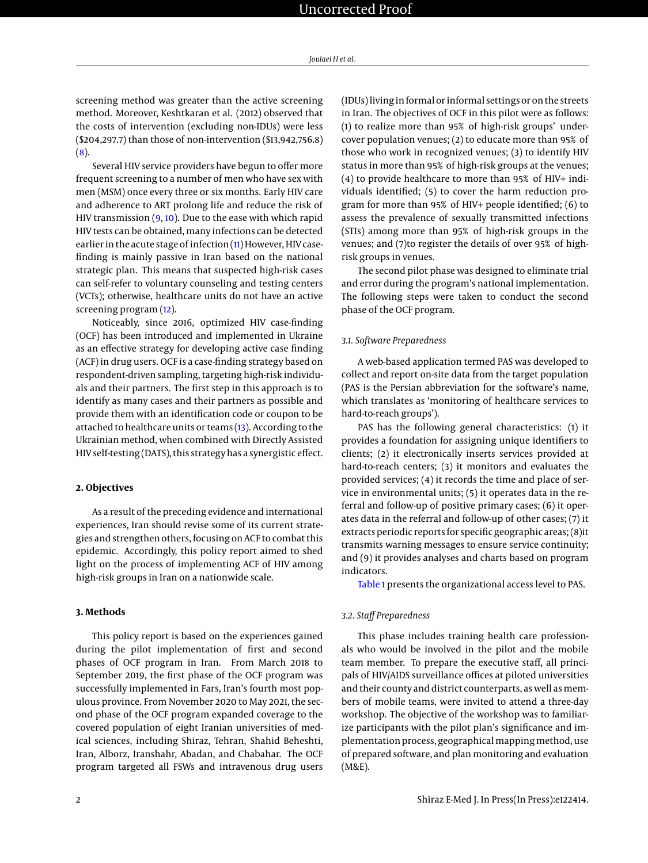screening method was greater than the active screening method. Moreover, Keshtkaran et al. (2012) observed that the costs of intervention (excluding non-IDUs) were less (\$204,297.7) than those of non-intervention (\$13,942,756.8) [\(8\)](#page-5-7).

Several HIV service providers have begun to offer more frequent screening to a number of men who have sex with men (MSM) once every three or six months. Early HIV care and adherence to ART prolong life and reduce the risk of HIV transmission  $(9, 10)$  $(9, 10)$  $(9, 10)$ . Due to the ease with which rapid HIV tests can be obtained, many infections can be detected earlier in the acute stage of infection [\(11\)](#page-5-10) However, HIV casefinding is mainly passive in Iran based on the national strategic plan. This means that suspected high-risk cases can self-refer to voluntary counseling and testing centers (VCTs); otherwise, healthcare units do not have an active screening program [\(12\)](#page-5-11).

Noticeably, since 2016, optimized HIV case-finding (OCF) has been introduced and implemented in Ukraine as an effective strategy for developing active case finding (ACF) in drug users. OCF is a case-finding strategy based on respondent-driven sampling, targeting high-risk individuals and their partners. The first step in this approach is to identify as many cases and their partners as possible and provide them with an identification code or coupon to be attached to healthcare units or teams [\(13\)](#page-5-12). According to the Ukrainian method, when combined with Directly Assisted HIV self-testing (DATS), this strategy has a synergistic effect.

#### **2. Objectives**

As a result of the preceding evidence and international experiences, Iran should revise some of its current strategies and strengthen others, focusing on ACF to combat this epidemic. Accordingly, this policy report aimed to shed light on the process of implementing ACF of HIV among high-risk groups in Iran on a nationwide scale.

#### **3. Methods**

This policy report is based on the experiences gained during the pilot implementation of first and second phases of OCF program in Iran. From March 2018 to September 2019, the first phase of the OCF program was successfully implemented in Fars, Iran's fourth most populous province. From November 2020 to May 2021, the second phase of the OCF program expanded coverage to the covered population of eight Iranian universities of medical sciences, including Shiraz, Tehran, Shahid Beheshti, Iran, Alborz, Iranshahr, Abadan, and Chabahar. The OCF program targeted all FSWs and intravenous drug users

(IDUs) living in formal or informal settings or on the streets in Iran. The objectives of OCF in this pilot were as follows: (1) to realize more than 95% of high-risk groups' undercover population venues; (2) to educate more than 95% of those who work in recognized venues; (3) to identify HIV status in more than 95% of high-risk groups at the venues; (4) to provide healthcare to more than 95% of HIV+ individuals identified; (5) to cover the harm reduction program for more than 95% of HIV+ people identified; (6) to assess the prevalence of sexually transmitted infections (STIs) among more than 95% of high-risk groups in the venues; and (7)to register the details of over 95% of highrisk groups in venues.

The second pilot phase was designed to eliminate trial and error during the program's national implementation. The following steps were taken to conduct the second phase of the OCF program.

#### *3.1. Software Preparedness*

A web-based application termed PAS was developed to collect and report on-site data from the target population (PAS is the Persian abbreviation for the software's name, which translates as 'monitoring of healthcare services to hard-to-reach groups').

PAS has the following general characteristics: (1) it provides a foundation for assigning unique identifiers to clients; (2) it electronically inserts services provided at hard-to-reach centers; (3) it monitors and evaluates the provided services; (4) it records the time and place of service in environmental units; (5) it operates data in the referral and follow-up of positive primary cases; (6) it operates data in the referral and follow-up of other cases; (7) it extracts periodic reports for specific geographic areas; (8)it transmits warning messages to ensure service continuity; and (9) it provides analyses and charts based on program indicators.

[Table 1](#page-2-0) presents the organizational access level to PAS.

#### *3.2. Staff Preparedness*

This phase includes training health care professionals who would be involved in the pilot and the mobile team member. To prepare the executive staff, all principals of HIV/AIDS surveillance offices at piloted universities and their county and district counterparts, as well as members of mobile teams, were invited to attend a three-day workshop. The objective of the workshop was to familiarize participants with the pilot plan's significance and implementation process, geographical mapping method, use of prepared software, and plan monitoring and evaluation (M&E).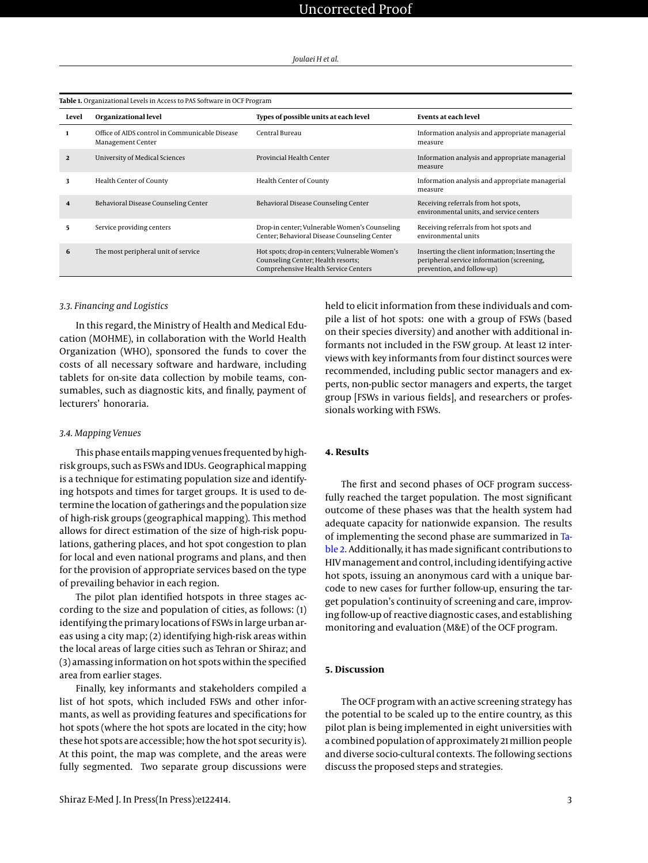<span id="page-2-0"></span>

| Level                   | Organizational level                                                | Types of possible units at each level                                                                                        | Events at each level                                                                                                        |  |
|-------------------------|---------------------------------------------------------------------|------------------------------------------------------------------------------------------------------------------------------|-----------------------------------------------------------------------------------------------------------------------------|--|
| 1                       | Office of AIDS control in Communicable Disease<br>Management Center | Central Bureau                                                                                                               | Information analysis and appropriate managerial<br>measure                                                                  |  |
| $\overline{2}$          | <b>University of Medical Sciences</b>                               | Provincial Health Center                                                                                                     | Information analysis and appropriate managerial<br>measure                                                                  |  |
| 3                       | Health Center of County                                             | Health Center of County                                                                                                      | Information analysis and appropriate managerial<br>measure                                                                  |  |
| $\overline{\mathbf{4}}$ | Behavioral Disease Counseling Center                                | Behavioral Disease Counseling Center                                                                                         | Receiving referrals from hot spots,<br>environmental units, and service centers                                             |  |
| 5.                      | Service providing centers                                           | Drop-in center; Vulnerable Women's Counseling<br>Center; Behavioral Disease Counseling Center                                | Receiving referrals from hot spots and<br>environmental units                                                               |  |
| 6                       | The most peripheral unit of service                                 | Hot spots; drop-in centers; Vulnerable Women's<br>Counseling Center; Health resorts;<br>Comprehensive Health Service Centers | Inserting the client information; Inserting the<br>peripheral service information (screening,<br>prevention, and follow-up) |  |

#### *3.3. Financing and Logistics*

In this regard, the Ministry of Health and Medical Education (MOHME), in collaboration with the World Health Organization (WHO), sponsored the funds to cover the costs of all necessary software and hardware, including tablets for on-site data collection by mobile teams, consumables, such as diagnostic kits, and finally, payment of lecturers' honoraria.

#### *3.4. Mapping Venues*

This phase entails mapping venues frequented by highrisk groups, such as FSWs and IDUs. Geographical mapping is a technique for estimating population size and identifying hotspots and times for target groups. It is used to determine the location of gatherings and the population size of high-risk groups (geographical mapping). This method allows for direct estimation of the size of high-risk populations, gathering places, and hot spot congestion to plan for local and even national programs and plans, and then for the provision of appropriate services based on the type of prevailing behavior in each region.

The pilot plan identified hotspots in three stages according to the size and population of cities, as follows: (1) identifying the primary locations of FSWs in large urban areas using a city map; (2) identifying high-risk areas within the local areas of large cities such as Tehran or Shiraz; and (3) amassing information on hot spots within the specified area from earlier stages.

Finally, key informants and stakeholders compiled a list of hot spots, which included FSWs and other informants, as well as providing features and specifications for hot spots (where the hot spots are located in the city; how these hot spots are accessible; how the hot spot security is). At this point, the map was complete, and the areas were fully segmented. Two separate group discussions were

held to elicit information from these individuals and compile a list of hot spots: one with a group of FSWs (based on their species diversity) and another with additional informants not included in the FSW group. At least 12 interviews with key informants from four distinct sources were recommended, including public sector managers and experts, non-public sector managers and experts, the target group [FSWs in various fields], and researchers or professionals working with FSWs.

#### **4. Results**

The first and second phases of OCF program successfully reached the target population. The most significant outcome of these phases was that the health system had adequate capacity for nationwide expansion. The results of implementing the second phase are summarized in [Ta](#page-3-0)[ble 2.](#page-3-0) Additionally, it has made significant contributions to HIV management and control, including identifying active hot spots, issuing an anonymous card with a unique barcode to new cases for further follow-up, ensuring the target population's continuity of screening and care, improving follow-up of reactive diagnostic cases, and establishing monitoring and evaluation (M&E) of the OCF program.

#### **5. Discussion**

The OCF program with an active screening strategy has the potential to be scaled up to the entire country, as this pilot plan is being implemented in eight universities with a combined population of approximately 21 million people and diverse socio-cultural contexts. The following sections discuss the proposed steps and strategies.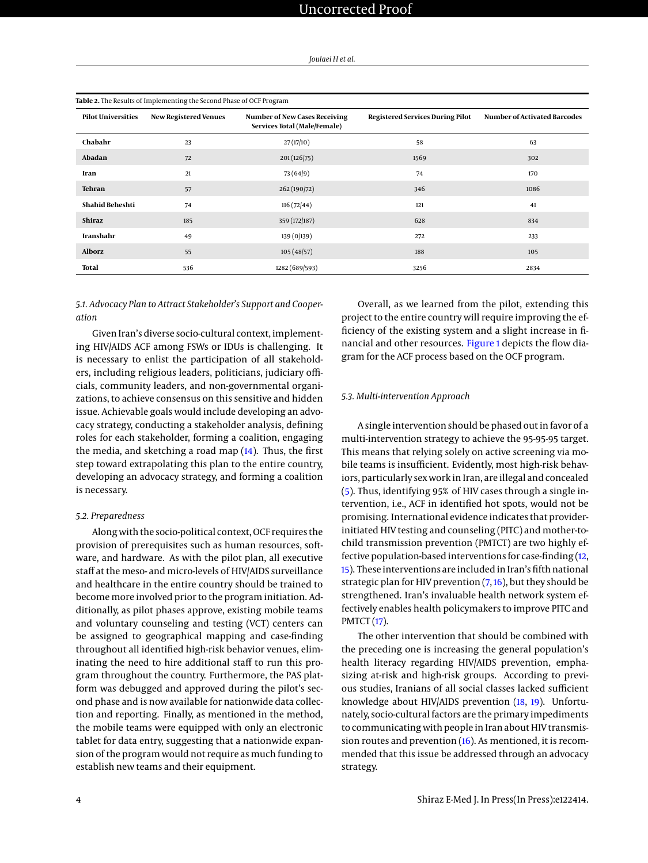<span id="page-3-0"></span>

| Table 2. The Results of Implementing the Second Phase of OCF Program |                              |                                                                      |                                         |                                     |  |
|----------------------------------------------------------------------|------------------------------|----------------------------------------------------------------------|-----------------------------------------|-------------------------------------|--|
| <b>Pilot Universities</b>                                            | <b>New Registered Venues</b> | <b>Number of New Cases Receiving</b><br>Services Total (Male/Female) | <b>Registered Services During Pilot</b> | <b>Number of Activated Barcodes</b> |  |
| Chabahr                                                              | 23                           | 27(17/10)                                                            | 58                                      | 63                                  |  |
| Abadan                                                               | 72                           | 201(126/75)                                                          | 1569                                    | 302                                 |  |
| Iran                                                                 | 21                           | 73(64/9)                                                             | 74                                      | 170                                 |  |
| <b>Tehran</b>                                                        | 57                           | 262 (190/72)                                                         | 346                                     | 1086                                |  |
| Shahid Beheshti                                                      | 74                           | 116(72/44)                                                           | 121                                     | 41                                  |  |
| Shiraz                                                               | 185                          | 359 (172/187)                                                        | 628                                     | 834                                 |  |
| Iranshahr                                                            | 49                           | 139 (0/139)                                                          | 272                                     | 233                                 |  |
| <b>Alborz</b>                                                        | 55                           | 105(48/57)                                                           | 188                                     | 105                                 |  |
| <b>Total</b>                                                         | 536                          | 1282 (689/593)                                                       | 3256                                    | 2834                                |  |

#### *5.1. Advocacy Plan to Attract Stakeholder's Support and Cooperation*

Given Iran's diverse socio-cultural context, implementing HIV/AIDS ACF among FSWs or IDUs is challenging. It is necessary to enlist the participation of all stakeholders, including religious leaders, politicians, judiciary officials, community leaders, and non-governmental organizations, to achieve consensus on this sensitive and hidden issue. Achievable goals would include developing an advocacy strategy, conducting a stakeholder analysis, defining roles for each stakeholder, forming a coalition, engaging the media, and sketching a road map  $(14)$ . Thus, the first step toward extrapolating this plan to the entire country, developing an advocacy strategy, and forming a coalition is necessary.

#### *5.2. Preparedness*

Along with the socio-political context, OCF requires the provision of prerequisites such as human resources, software, and hardware. As with the pilot plan, all executive staff at the meso- and micro-levels of HIV/AIDS surveillance and healthcare in the entire country should be trained to become more involved prior to the program initiation. Additionally, as pilot phases approve, existing mobile teams and voluntary counseling and testing (VCT) centers can be assigned to geographical mapping and case-finding throughout all identified high-risk behavior venues, eliminating the need to hire additional staff to run this program throughout the country. Furthermore, the PAS platform was debugged and approved during the pilot's second phase and is now available for nationwide data collection and reporting. Finally, as mentioned in the method, the mobile teams were equipped with only an electronic tablet for data entry, suggesting that a nationwide expansion of the program would not require as much funding to establish new teams and their equipment.

Overall, as we learned from the pilot, extending this project to the entire country will require improving the efficiency of the existing system and a slight increase in financial and other resources. [Figure 1](#page-4-0) depicts the flow diagram for the ACF process based on the OCF program.

#### *5.3. Multi-intervention Approach*

A single intervention should be phased out in favor of a multi-intervention strategy to achieve the 95-95-95 target. This means that relying solely on active screening via mobile teams is insufficient. Evidently, most high-risk behaviors, particularly sex work in Iran, are illegal and concealed [\(5\)](#page-5-4). Thus, identifying 95% of HIV cases through a single intervention, i.e., ACF in identified hot spots, would not be promising. International evidence indicates that providerinitiated HIV testing and counseling (PITC) and mother-tochild transmission prevention (PMTCT) are two highly effective population-based interventions for case-finding [\(12,](#page-5-11) [15\)](#page-5-14). These interventions are included in Iran's fifth national strategic plan for HIV prevention  $(7, 16)$  $(7, 16)$  $(7, 16)$ , but they should be strengthened. Iran's invaluable health network system effectively enables health policymakers to improve PITC and PMTCT [\(17\)](#page-6-1).

The other intervention that should be combined with the preceding one is increasing the general population's health literacy regarding HIV/AIDS prevention, emphasizing at-risk and high-risk groups. According to previous studies, Iranians of all social classes lacked sufficient knowledge about HIV/AIDS prevention [\(18,](#page-6-2) [19\)](#page-6-3). Unfortunately, socio-cultural factors are the primary impediments to communicating with people in Iran about HIV transmission routes and prevention [\(16\)](#page-6-0). As mentioned, it is recommended that this issue be addressed through an advocacy strategy.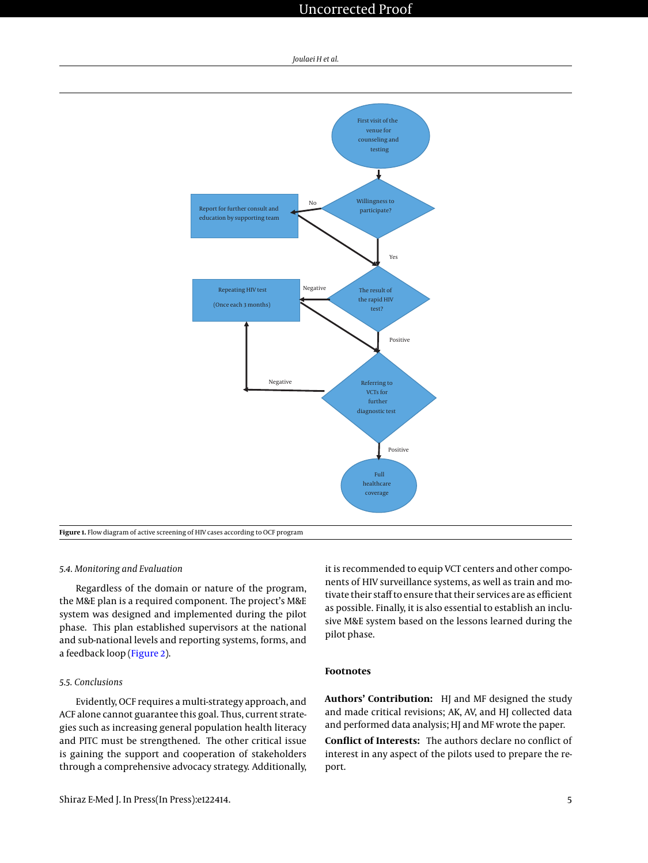## Uncorrected Proof



<span id="page-4-0"></span>

#### *5.4. Monitoring and Evaluation*

Regardless of the domain or nature of the program, the M&E plan is a required component. The project's M&E system was designed and implemented during the pilot phase. This plan established supervisors at the national and sub-national levels and reporting systems, forms, and a feedback loop [\(Figure 2\)](#page-5-15).

### *5.5. Conclusions*

Evidently, OCF requires a multi-strategy approach, and ACF alone cannot guarantee this goal. Thus, current strategies such as increasing general population health literacy and PITC must be strengthened. The other critical issue is gaining the support and cooperation of stakeholders through a comprehensive advocacy strategy. Additionally,

it is recommended to equip VCT centers and other components of HIV surveillance systems, as well as train and motivate their staff to ensure that their services are as efficient as possible. Finally, it is also essential to establish an inclusive M&E system based on the lessons learned during the pilot phase.

### **Footnotes**

**Authors' Contribution:** HJ and MF designed the study and made critical revisions; AK, AV, and HJ collected data and performed data analysis; HJ and MF wrote the paper.

**Conflict of Interests:** The authors declare no conflict of interest in any aspect of the pilots used to prepare the report.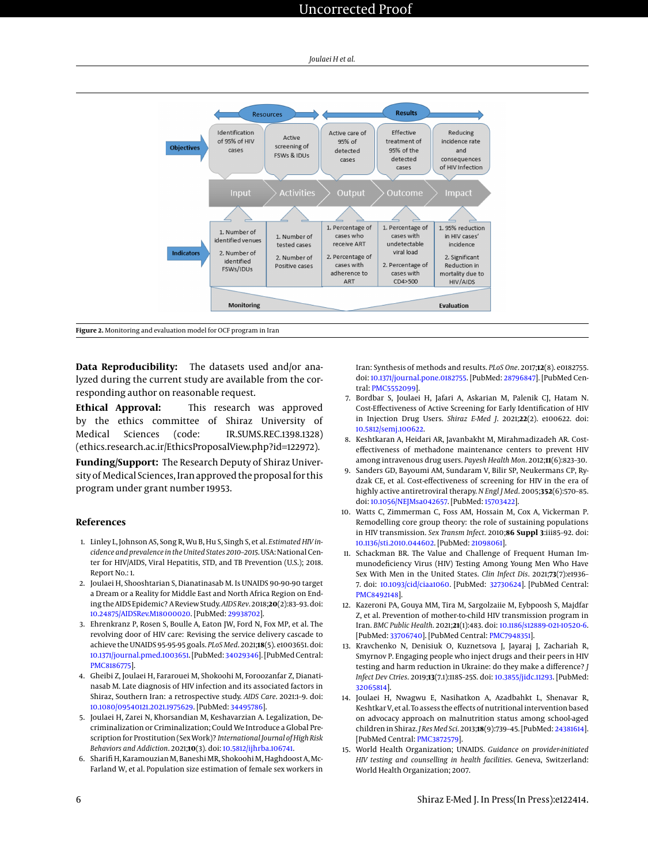<span id="page-5-15"></span>

**Figure 2.** Monitoring and evaluation model for OCF program in Iran

**Data Reproducibility:** The datasets used and/or analyzed during the current study are available from the corresponding author on reasonable request.

**Ethical Approval:** This research was approved by the ethics committee of Shiraz University of Medical Sciences (code: IR.SUMS.REC.1398.1328) (ethics.research.ac.ir/EthicsProposalView.php?id=122972).

**Funding/Support:** The Research Deputy of Shiraz University of Medical Sciences, Iran approved the proposal for this program under grant number 19953.

#### **References**

- <span id="page-5-0"></span>1. Linley L, Johnson AS, Song R, Wu B, Hu S, Singh S, et al. *Estimated HIV incidence and prevalence in the United States 2010–2015*. USA: National Center for HIV/AIDS, Viral Hepatitis, STD, and TB Prevention (U.S.); 2018. Report No.: 1.
- <span id="page-5-1"></span>2. Joulaei H, Shooshtarian S, Dianatinasab M. Is UNAIDS 90-90-90 target a Dream or a Reality for Middle East and North Africa Region on Ending the AIDS Epidemic? A Review Study.*AIDS Rev*. 2018;**20**(2):83–93. doi: [10.24875/AIDSRev.M18000020.](http://dx.doi.org/10.24875/AIDSRev.M18000020) [PubMed: [29938702\]](http://www.ncbi.nlm.nih.gov/pubmed/29938702).
- <span id="page-5-2"></span>3. Ehrenkranz P, Rosen S, Boulle A, Eaton JW, Ford N, Fox MP, et al. The revolving door of HIV care: Revising the service delivery cascade to achieve the UNAIDS 95-95-95 goals. *PLoS Med*. 2021;**18**(5). e1003651. doi: [10.1371/journal.pmed.1003651.](http://dx.doi.org/10.1371/journal.pmed.1003651) [PubMed: [34029346\]](http://www.ncbi.nlm.nih.gov/pubmed/34029346). [PubMed Central: [PMC8186775\]](https://www.ncbi.nlm.nih.gov/pmc/articles/PMC8186775).
- <span id="page-5-3"></span>4. Gheibi Z, Joulaei H, Fararouei M, Shokoohi M, Foroozanfar Z, Dianatinasab M. Late diagnosis of HIV infection and its associated factors in Shiraz, Southern Iran: a retrospective study. *AIDS Care*. 2021:1–9. doi: [10.1080/09540121.2021.1975629.](http://dx.doi.org/10.1080/09540121.2021.1975629) [PubMed: [34495786\]](http://www.ncbi.nlm.nih.gov/pubmed/34495786).
- <span id="page-5-4"></span>5. Joulaei H, Zarei N, Khorsandian M, Keshavarzian A. Legalization, Decriminalization or Criminalization; Could We Introduce a Global Prescription for Prostitution (Sex Work)? *International Journal of High Risk Behaviors and Addiction*. 2021;**10**(3). doi: [10.5812/ijhrba.106741.](http://dx.doi.org/10.5812/ijhrba.106741)
- <span id="page-5-5"></span>6. Sharifi H, Karamouzian M, Baneshi MR, Shokoohi M, Haghdoost A, Mc-Farland W, et al. Population size estimation of female sex workers in

Iran: Synthesis of methods and results. *PLoS One*. 2017;**12**(8). e0182755. doi: [10.1371/journal.pone.0182755.](http://dx.doi.org/10.1371/journal.pone.0182755) [PubMed: [28796847\]](http://www.ncbi.nlm.nih.gov/pubmed/28796847). [PubMed Central: [PMC5552099\]](https://www.ncbi.nlm.nih.gov/pmc/articles/PMC5552099).

- <span id="page-5-6"></span>7. Bordbar S, Joulaei H, Jafari A, Askarian M, Palenik CJ, Hatam N. Cost-Effectiveness of Active Screening for Early Identification of HIV in Injection Drug Users. *Shiraz E-Med J*. 2021;**22**(2). e100622. doi: [10.5812/semj.100622.](http://dx.doi.org/10.5812/semj.100622)
- <span id="page-5-7"></span>8. Keshtkaran A, Heidari AR, Javanbakht M, Mirahmadizadeh AR. Costeffectiveness of methadone maintenance centers to prevent HIV among intravenous drug users. *Payesh Health Mon*. 2012;**11**(6):823–30.
- <span id="page-5-8"></span>9. Sanders GD, Bayoumi AM, Sundaram V, Bilir SP, Neukermans CP, Rydzak CE, et al. Cost-effectiveness of screening for HIV in the era of highly active antiretroviral therapy. *N Engl J Med*. 2005;**352**(6):570–85. doi: [10.1056/NEJMsa042657.](http://dx.doi.org/10.1056/NEJMsa042657) [PubMed: [15703422\]](http://www.ncbi.nlm.nih.gov/pubmed/15703422).
- <span id="page-5-9"></span>10. Watts C, Zimmerman C, Foss AM, Hossain M, Cox A, Vickerman P. Remodelling core group theory: the role of sustaining populations in HIV transmission. *Sex Transm Infect*. 2010;**86 Suppl 3**:iii85–92. doi: [10.1136/sti.2010.044602.](http://dx.doi.org/10.1136/sti.2010.044602) [PubMed: [21098061\]](http://www.ncbi.nlm.nih.gov/pubmed/21098061).
- <span id="page-5-10"></span>11. Schackman BR. The Value and Challenge of Frequent Human Immunodeficiency Virus (HIV) Testing Among Young Men Who Have Sex With Men in the United States. *Clin Infect Dis*. 2021;**73**(7):e1936– 7. doi: [10.1093/cid/ciaa1060.](http://dx.doi.org/10.1093/cid/ciaa1060) [PubMed: [32730624\]](http://www.ncbi.nlm.nih.gov/pubmed/32730624). [PubMed Central: [PMC8492148\]](https://www.ncbi.nlm.nih.gov/pmc/articles/PMC8492148).
- <span id="page-5-11"></span>12. Kazeroni PA, Gouya MM, Tira M, Sargolzaiie M, Eybpoosh S, Majdfar Z, et al. Prevention of mother-to-child HIV transmission program in Iran. *BMC Public Health*. 2021;**21**(1):483. doi: [10.1186/s12889-021-10520-6.](http://dx.doi.org/10.1186/s12889-021-10520-6) [PubMed: [33706740\]](http://www.ncbi.nlm.nih.gov/pubmed/33706740). [PubMed Central: [PMC7948351\]](https://www.ncbi.nlm.nih.gov/pmc/articles/PMC7948351).
- <span id="page-5-12"></span>13. Kravchenko N, Denisiuk O, Kuznetsova J, Jayaraj J, Zachariah R, Smyrnov P. Engaging people who inject drugs and their peers in HIV testing and harm reduction in Ukraine: do they make a difference? *J Infect Dev Ctries*. 2019;**13**(7.1):118S–25S. doi: [10.3855/jidc.11293.](http://dx.doi.org/10.3855/jidc.11293) [PubMed: [32065814\]](http://www.ncbi.nlm.nih.gov/pubmed/32065814).
- <span id="page-5-13"></span>14. Joulaei H, Nwagwu E, Nasihatkon A, Azadbahkt L, Shenavar R, Keshtkar V, et al. To assess the effects of nutritional intervention based on advocacy approach on malnutrition status among school-aged children in Shiraz. *J Res Med Sci*. 2013;**18**(9):739–45. [PubMed: [24381614\]](http://www.ncbi.nlm.nih.gov/pubmed/24381614). [PubMed Central: [PMC3872579\]](https://www.ncbi.nlm.nih.gov/pmc/articles/PMC3872579).
- <span id="page-5-14"></span>15. World Health Organization; UNAIDS. *Guidance on provider-initiated HIV testing and counselling in health facilities*. Geneva, Switzerland: World Health Organization; 2007.